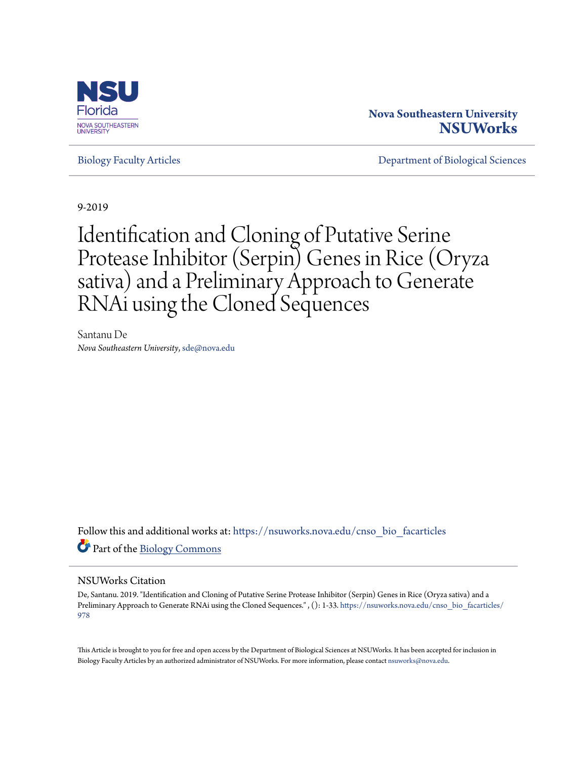

# **Nova Southeastern University [NSUWorks](https://nsuworks.nova.edu/?utm_source=nsuworks.nova.edu%2Fcnso_bio_facarticles%2F978&utm_medium=PDF&utm_campaign=PDFCoverPages)**

[Biology Faculty Articles](https://nsuworks.nova.edu/cnso_bio_facarticles?utm_source=nsuworks.nova.edu%2Fcnso_bio_facarticles%2F978&utm_medium=PDF&utm_campaign=PDFCoverPages) [Department of Biological Sciences](https://nsuworks.nova.edu/cnso_bio?utm_source=nsuworks.nova.edu%2Fcnso_bio_facarticles%2F978&utm_medium=PDF&utm_campaign=PDFCoverPages)

9-2019

# Identification and Cloning of Putative Serine Protease Inhibitor (Serpin) Genes in Rice (Oryza sativa) and a Preliminary Approach to Generate RNAi using the Cloned Sequences

Santanu De *Nova Southeastern University*, sde@nova.edu

Follow this and additional works at: [https://nsuworks.nova.edu/cnso\\_bio\\_facarticles](https://nsuworks.nova.edu/cnso_bio_facarticles?utm_source=nsuworks.nova.edu%2Fcnso_bio_facarticles%2F978&utm_medium=PDF&utm_campaign=PDFCoverPages) Part of the [Biology Commons](http://network.bepress.com/hgg/discipline/41?utm_source=nsuworks.nova.edu%2Fcnso_bio_facarticles%2F978&utm_medium=PDF&utm_campaign=PDFCoverPages)

#### NSUWorks Citation

De, Santanu. 2019. "Identification and Cloning of Putative Serine Protease Inhibitor (Serpin) Genes in Rice (Oryza sativa) and a Preliminary Approach to Generate RNAi using the Cloned Sequences." , (): 1-33. [https://nsuworks.nova.edu/cnso\\_bio\\_facarticles/](https://nsuworks.nova.edu/cnso_bio_facarticles/978?utm_source=nsuworks.nova.edu%2Fcnso_bio_facarticles%2F978&utm_medium=PDF&utm_campaign=PDFCoverPages) [978](https://nsuworks.nova.edu/cnso_bio_facarticles/978?utm_source=nsuworks.nova.edu%2Fcnso_bio_facarticles%2F978&utm_medium=PDF&utm_campaign=PDFCoverPages)

This Article is brought to you for free and open access by the Department of Biological Sciences at NSUWorks. It has been accepted for inclusion in Biology Faculty Articles by an authorized administrator of NSUWorks. For more information, please contact [nsuworks@nova.edu](mailto:nsuworks@nova.edu).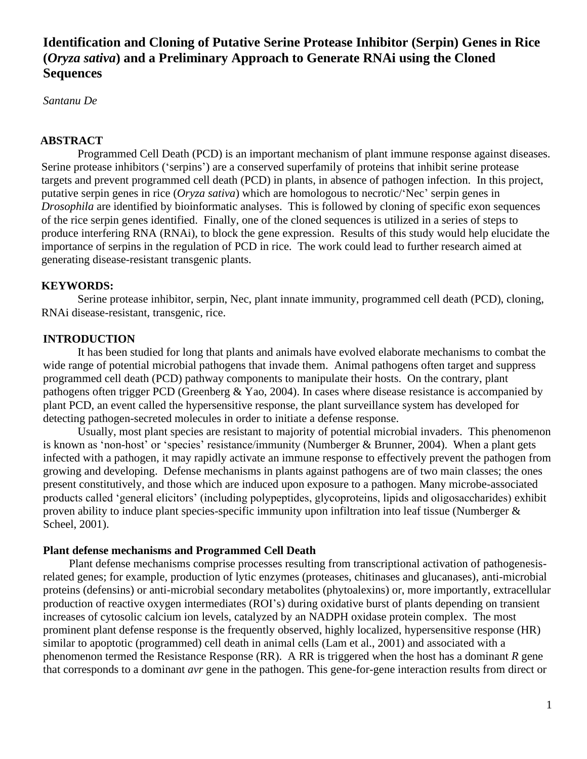# **Identification and Cloning of Putative Serine Protease Inhibitor (Serpin) Genes in Rice (***Oryza sativa***) and a Preliminary Approach to Generate RNAi using the Cloned Sequences**

*Santanu De*

#### **ABSTRACT**

 Programmed Cell Death (PCD) is an important mechanism of plant immune response against diseases. Serine protease inhibitors ('serpins') are a conserved superfamily of proteins that inhibit serine protease targets and prevent programmed cell death (PCD) in plants, in absence of pathogen infection. In this project, putative serpin genes in rice (*Oryza sativa*) which are homologous to necrotic/'Nec' serpin genes in *Drosophila* are identified by bioinformatic analyses. This is followed by cloning of specific exon sequences of the rice serpin genes identified. Finally, one of the cloned sequences is utilized in a series of steps to produce interfering RNA (RNAi), to block the gene expression. Results of this study would help elucidate the importance of serpins in the regulation of PCD in rice. The work could lead to further research aimed at generating disease-resistant transgenic plants.

#### **KEYWORDS:**

 Serine protease inhibitor, serpin, Nec, plant innate immunity, programmed cell death (PCD), cloning, RNAi disease-resistant, transgenic, rice.

#### **INTRODUCTION**

It has been studied for long that plants and animals have evolved elaborate mechanisms to combat the wide range of potential microbial pathogens that invade them. Animal pathogens often target and suppress programmed cell death (PCD) pathway components to manipulate their hosts. On the contrary, plant pathogens often trigger PCD (Greenberg & Yao, 2004). In cases where disease resistance is accompanied by plant PCD, an event called the hypersensitive response, the plant surveillance system has developed for detecting pathogen-secreted molecules in order to initiate a defense response.

Usually, most plant species are resistant to majority of potential microbial invaders. This phenomenon is known as 'non-host' or 'species' resistance/immunity (Numberger & Brunner, 2004). When a plant gets infected with a pathogen, it may rapidly activate an immune response to effectively prevent the pathogen from growing and developing. Defense mechanisms in plants against pathogens are of two main classes; the ones present constitutively, and those which are induced upon exposure to a pathogen. Many microbe-associated products called 'general elicitors' (including polypeptides, glycoproteins, lipids and oligosaccharides) exhibit proven ability to induce plant species-specific immunity upon infiltration into leaf tissue (Numberger & Scheel, 2001).

#### **Plant defense mechanisms and Programmed Cell Death**

Plant defense mechanisms comprise processes resulting from transcriptional activation of pathogenesisrelated genes; for example, production of lytic enzymes (proteases, chitinases and glucanases), anti-microbial proteins (defensins) or anti-microbial secondary metabolites (phytoalexins) or, more importantly, extracellular production of reactive oxygen intermediates (ROI's) during oxidative burst of plants depending on transient increases of cytosolic calcium ion levels, catalyzed by an NADPH oxidase protein complex. The most prominent plant defense response is the frequently observed, highly localized, hypersensitive response (HR) similar to apoptotic (programmed) cell death in animal cells (Lam et al., 2001) and associated with a phenomenon termed the Resistance Response (RR). A RR is triggered when the host has a dominant *R* gene that corresponds to a dominant *avr* gene in the pathogen. This gene-for-gene interaction results from direct or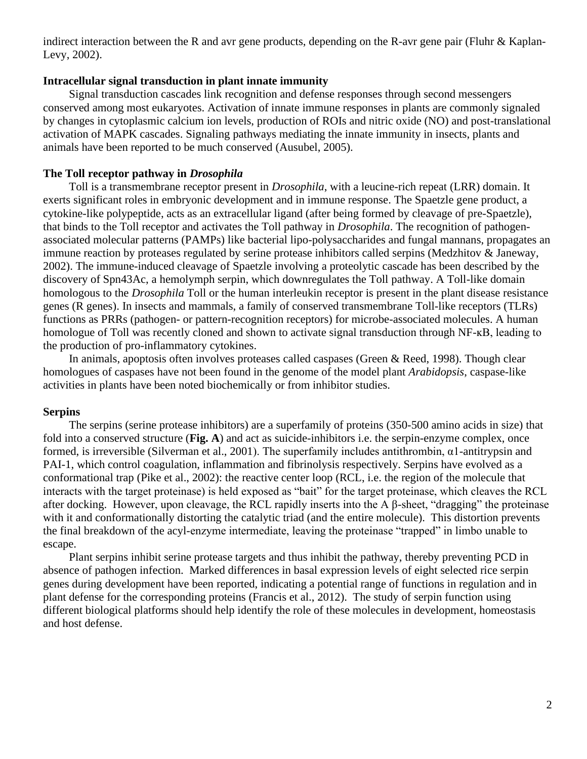indirect interaction between the R and avr gene products, depending on the R-avr gene pair (Fluhr & Kaplan-Levy, 2002).

#### **Intracellular signal transduction in plant innate immunity**

Signal transduction cascades link recognition and defense responses through second messengers conserved among most eukaryotes. Activation of innate immune responses in plants are commonly signaled by changes in cytoplasmic calcium ion levels, production of ROIs and nitric oxide (NO) and post-translational activation of MAPK cascades. Signaling pathways mediating the innate immunity in insects, plants and animals have been reported to be much conserved (Ausubel, 2005).

#### **The Toll receptor pathway in** *Drosophila*

Toll is a transmembrane receptor present in *Drosophila*, with a leucine-rich repeat (LRR) domain. It exerts significant roles in embryonic development and in immune response. The Spaetzle gene product, a cytokine-like polypeptide, acts as an extracellular ligand (after being formed by cleavage of pre-Spaetzle), that binds to the Toll receptor and activates the Toll pathway in *Drosophila*. The recognition of pathogenassociated molecular patterns (PAMPs) like bacterial lipo-polysaccharides and fungal mannans, propagates an immune reaction by proteases regulated by serine protease inhibitors called serpins (Medzhitov & Janeway, 2002). The immune-induced cleavage of Spaetzle involving a proteolytic cascade has been described by the discovery of Spn43Ac, a hemolymph serpin, which downregulates the Toll pathway. A Toll-like domain homologous to the *Drosophila* Toll or the human interleukin receptor is present in the plant disease resistance genes (R genes). In insects and mammals, a family of conserved transmembrane Toll-like receptors (TLRs) functions as PRRs (pathogen- or pattern-recognition receptors) for microbe-associated molecules. A human homologue of Toll was recently cloned and shown to activate signal transduction through NF- $\kappa$ B, leading to the production of pro-inflammatory cytokines.

In animals, apoptosis often involves proteases called caspases (Green & Reed, 1998). Though clear homologues of caspases have not been found in the genome of the model plant *Arabidopsis*, caspase-like activities in plants have been noted biochemically or from inhibitor studies.

#### **Serpins**

The serpins (serine protease inhibitors) are a superfamily of proteins (350-500 amino acids in size) that fold into a conserved structure (**Fig. A**) and act as suicide-inhibitors i.e. the serpin-enzyme complex, once formed, is irreversible (Silverman et al., 2001). The superfamily includes antithrombin, α1-antitrypsin and PAI-1, which control coagulation, inflammation and fibrinolysis respectively. Serpins have evolved as a conformational trap (Pike et al., 2002): the reactive center loop (RCL, i.e. the region of the molecule that interacts with the target proteinase) is held exposed as "bait" for the target proteinase, which cleaves the RCL after docking. However, upon cleavage, the RCL rapidly inserts into the A  $\beta$ -sheet, "dragging" the proteinase with it and conformationally distorting the catalytic triad (and the entire molecule). This distortion prevents the final breakdown of the acyl-enzyme intermediate, leaving the proteinase "trapped" in limbo unable to escape.

Plant serpins inhibit serine protease targets and thus inhibit the pathway, thereby preventing PCD in absence of pathogen infection. Marked differences in basal expression levels of eight selected rice serpin genes during development have been reported, indicating a potential range of functions in regulation and in plant defense for the corresponding proteins (Francis et al., 2012). The study of serpin function using different biological platforms should help identify the role of these molecules in development, homeostasis and host defense.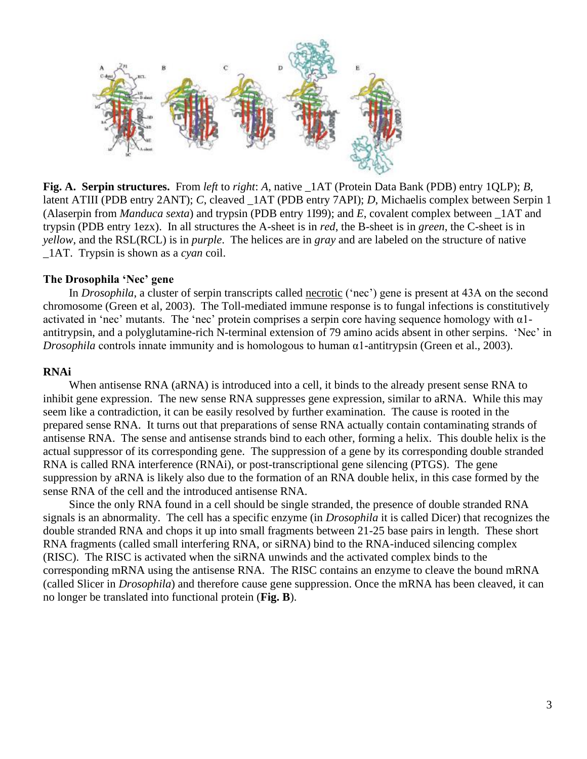

**Fig. A. Serpin structures.** From *left* to *right*: *A*, native \_1AT (Protein Data Bank (PDB) entry 1QLP); *B*, latent ATIII (PDB entry 2ANT); *C*, cleaved \_1AT (PDB entry 7API); *D*, Michaelis complex between Serpin 1 (Alaserpin from *Manduca sexta*) and trypsin (PDB entry 1I99); and *E*, covalent complex between \_1AT and trypsin (PDB entry 1ezx). In all structures the A-sheet is in *red*, the B-sheet is in *green*, the C-sheet is in *yellow*, and the RSL(RCL) is in *purple*. The helices are in *gray* and are labeled on the structure of native \_1AT. Trypsin is shown as a *cyan* coil.

#### **The Drosophila 'Nec' gene**

In *Drosophila*, a cluster of serpin transcripts called necrotic ('nec') gene is present at 43A on the second chromosome (Green et al, 2003). The Toll-mediated immune response is to fungal infections is constitutively activated in 'nec' mutants. The 'nec' protein comprises a serpin core having sequence homology with  $\alpha$ 1antitrypsin, and a polyglutamine-rich N-terminal extension of 79 amino acids absent in other serpins. 'Nec' in *Drosophila* controls innate immunity and is homologous to human α1-antitrypsin (Green et al., 2003).

### **RNAi**

When antisense RNA (aRNA) is introduced into a cell, it binds to the already present sense RNA to inhibit gene expression. The new sense RNA suppresses gene expression, similar to aRNA. While this may seem like a contradiction, it can be easily resolved by further examination. The cause is rooted in the prepared sense RNA. It turns out that preparations of sense RNA actually contain contaminating strands of antisense RNA. The sense and antisense strands bind to each other, forming a helix. This double helix is the actual suppressor of its corresponding gene. The suppression of a gene by its corresponding double stranded RNA is called RNA interference (RNAi), or post-transcriptional gene silencing (PTGS). The gene suppression by aRNA is likely also due to the formation of an RNA double helix, in this case formed by the sense RNA of the cell and the introduced antisense RNA.

Since the only RNA found in a cell should be single stranded, the presence of double stranded RNA signals is an abnormality. The cell has a specific enzyme (in *Drosophila* it is called Dicer) that recognizes the double stranded RNA and chops it up into small fragments between 21-25 base pairs in length. These short RNA fragments (called small interfering RNA, or siRNA) bind to the RNA-induced silencing complex (RISC). The RISC is activated when the siRNA unwinds and the activated complex binds to the corresponding mRNA using the antisense RNA. The RISC contains an enzyme to cleave the bound mRNA (called Slicer in *Drosophila*) and therefore cause gene suppression. Once the mRNA has been cleaved, it can no longer be translated into functional protein (**Fig. B**).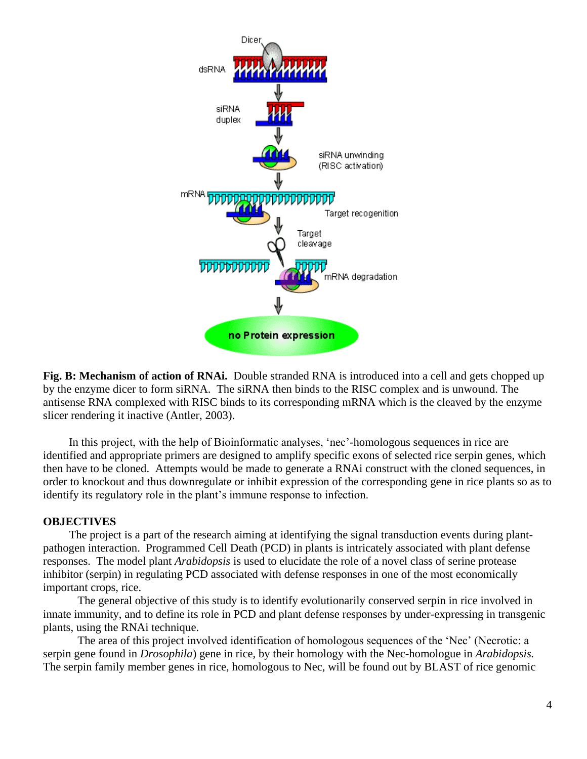

 **Fig. B: Mechanism of action of RNAi.** Double stranded RNA is introduced into a cell and gets chopped up by the enzyme dicer to form siRNA. The siRNA then binds to the RISC complex and is unwound. The antisense RNA complexed with RISC binds to its corresponding mRNA which is the cleaved by the enzyme slicer rendering it inactive (Antler, 2003).

In this project, with the help of Bioinformatic analyses, 'nec'-homologous sequences in rice are identified and appropriate primers are designed to amplify specific exons of selected rice serpin genes, which then have to be cloned. Attempts would be made to generate a RNAi construct with the cloned sequences, in order to knockout and thus downregulate or inhibit expression of the corresponding gene in rice plants so as to identify its regulatory role in the plant's immune response to infection.

## **OBJECTIVES**

The project is a part of the research aiming at identifying the signal transduction events during plantpathogen interaction. Programmed Cell Death (PCD) in plants is intricately associated with plant defense responses. The model plant *Arabidopsis* is used to elucidate the role of a novel class of serine protease inhibitor (serpin) in regulating PCD associated with defense responses in one of the most economically important crops, rice.

The general objective of this study is to identify evolutionarily conserved serpin in rice involved in innate immunity, and to define its role in PCD and plant defense responses by under-expressing in transgenic plants, using the RNAi technique.

 The area of this project involved identification of homologous sequences of the 'Nec' (Necrotic: a serpin gene found in *Drosophila*) gene in rice, by their homology with the Nec-homologue in *Arabidopsis.* The serpin family member genes in rice, homologous to Nec, will be found out by BLAST of rice genomic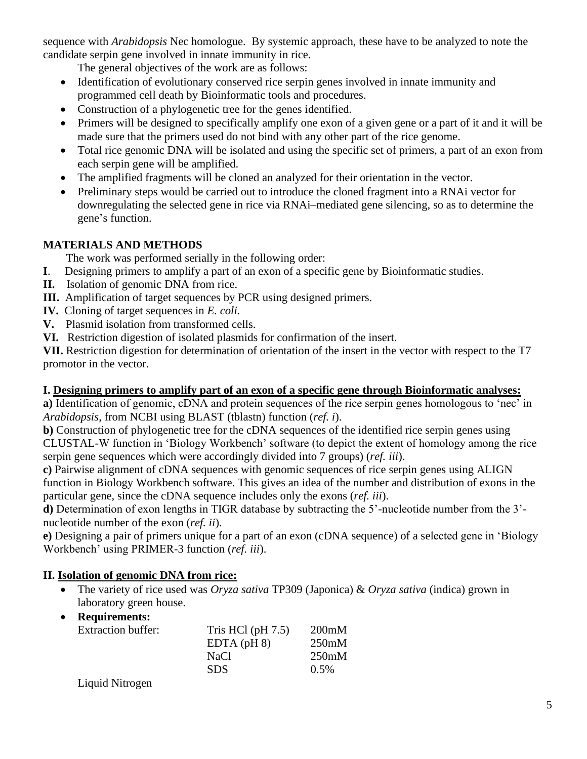sequence with *Arabidopsis* Nec homologue. By systemic approach, these have to be analyzed to note the candidate serpin gene involved in innate immunity in rice.

The general objectives of the work are as follows:

- Identification of evolutionary conserved rice serpin genes involved in innate immunity and programmed cell death by Bioinformatic tools and procedures.
- Construction of a phylogenetic tree for the genes identified.
- Primers will be designed to specifically amplify one exon of a given gene or a part of it and it will be made sure that the primers used do not bind with any other part of the rice genome.
- Total rice genomic DNA will be isolated and using the specific set of primers, a part of an exon from each serpin gene will be amplified.
- The amplified fragments will be cloned an analyzed for their orientation in the vector.
- Preliminary steps would be carried out to introduce the cloned fragment into a RNAi vector for downregulating the selected gene in rice via RNAi–mediated gene silencing, so as to determine the gene's function.

# **MATERIALS AND METHODS**

The work was performed serially in the following order:

- **I**. Designing primers to amplify a part of an exon of a specific gene by Bioinformatic studies.
- **II.** Isolation of genomic DNA from rice.
- **III.** Amplification of target sequences by PCR using designed primers.
- **IV.** Cloning of target sequences in *E. coli.*
- **V.** Plasmid isolation from transformed cells.
- **VI.** Restriction digestion of isolated plasmids for confirmation of the insert.

**VII.** Restriction digestion for determination of orientation of the insert in the vector with respect to the T7 promotor in the vector.

# **I. Designing primers to amplify part of an exon of a specific gene through Bioinformatic analyses:**

**a)** Identification of genomic, cDNA and protein sequences of the rice serpin genes homologous to 'nec' in *Arabidopsis*, from NCBI using BLAST (tblastn) function (*ref. i*).

**b)** Construction of phylogenetic tree for the cDNA sequences of the identified rice serpin genes using CLUSTAL-W function in 'Biology Workbench' software (to depict the extent of homology among the rice serpin gene sequences which were accordingly divided into 7 groups) (*ref. iii*).

**c)** Pairwise alignment of cDNA sequences with genomic sequences of rice serpin genes using ALIGN function in Biology Workbench software. This gives an idea of the number and distribution of exons in the particular gene, since the cDNA sequence includes only the exons (*ref. iii*).

**d)** Determination of exon lengths in TIGR database by subtracting the 5'-nucleotide number from the 3' nucleotide number of the exon (*ref. ii*).

**e)** Designing a pair of primers unique for a part of an exon (cDNA sequence) of a selected gene in 'Biology Workbench' using PRIMER-3 function (*ref. iii*).

# **II. Isolation of genomic DNA from rice:**

- The variety of rice used was *Oryza sativa* TP309 (Japonica) & *Oryza sativa* (indica) grown in laboratory green house.
- **Requirements:**

| <b>Extraction buffer:</b> | Tris HCl $(pH 7.5)$ | 200mM   |
|---------------------------|---------------------|---------|
|                           | $EDTA$ ( $pH8$ )    | 250mM   |
|                           | NaCl                | 250mM   |
|                           | <b>SDS</b>          | $0.5\%$ |
|                           |                     |         |

Liquid Nitrogen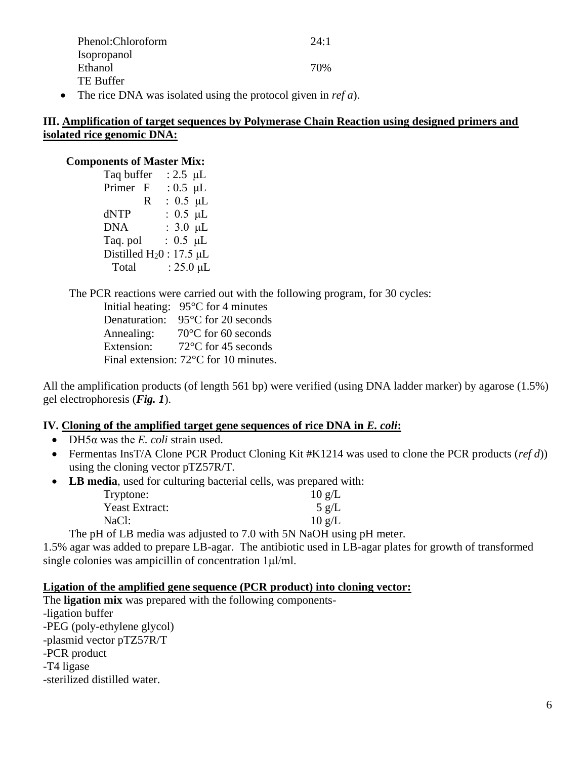|           | Phenol:Chloroform                                                | 24:1 |
|-----------|------------------------------------------------------------------|------|
|           | <b>Isopropanol</b>                                               |      |
|           | Ethanol                                                          | 70%  |
|           | TE Buffer                                                        |      |
| $\bullet$ | The rice DNA was isolated using the protocol given in $ref a$ ). |      |

# **III. Amplification of target sequences by Polymerase Chain Reaction using designed primers and isolated rice genomic DNA:**

### **Components of Master Mix:**

| Taq buffer                 |   | : 2.5 $\mu$ L  |  |
|----------------------------|---|----------------|--|
| Primer F                   |   | : $0.5 \mu L$  |  |
|                            | R | : $0.5 \mu L$  |  |
| dNTP                       |   | : $0.5 \mu L$  |  |
| <b>DNA</b>                 |   | : $3.0 \mu L$  |  |
| Taq. pol                   |   | : $0.5 \mu L$  |  |
| Distilled $H_20$ : 17.5 µL |   |                |  |
| Total                      |   | : $25.0 \mu L$ |  |
|                            |   |                |  |

The PCR reactions were carried out with the following program, for 30 cycles:

Initial heating: 95°C for 4 minutes Denaturation: 95°C for 20 seconds Annealing: 70°C for 60 seconds Extension: 72<sup>o</sup>C for 45 seconds Final extension: 72°C for 10 minutes.

All the amplification products (of length 561 bp) were verified (using DNA ladder marker) by agarose (1.5%) gel electrophoresis (*Fig. 1*).

# **IV. Cloning of the amplified target gene sequences of rice DNA in** *E. coli***:**

- DH5α was the *E. coli* strain used.
- Fermentas InsT/A Clone PCR Product Cloning Kit #K1214 was used to clone the PCR products (*ref d*)) using the cloning vector pTZ57R/T.
- **LB media**, used for culturing bacterial cells, was prepared with:

| Tryptone:      | $10 \text{ g/L}$ |
|----------------|------------------|
| Yeast Extract: | $5 \text{ g/L}$  |
| NaCl:          | $10 \text{ g/L}$ |

The pH of LB media was adjusted to 7.0 with 5N NaOH using pH meter.

1.5% agar was added to prepare LB-agar. The antibiotic used in LB-agar plates for growth of transformed single colonies was ampicillin of concentration 1μl/ml.

# **Ligation of the amplified gene sequence (PCR product) into cloning vector:**

The **ligation mix** was prepared with the following components- -ligation buffer -PEG (poly-ethylene glycol) -plasmid vector pTZ57R/T -PCR product -T4 ligase -sterilized distilled water.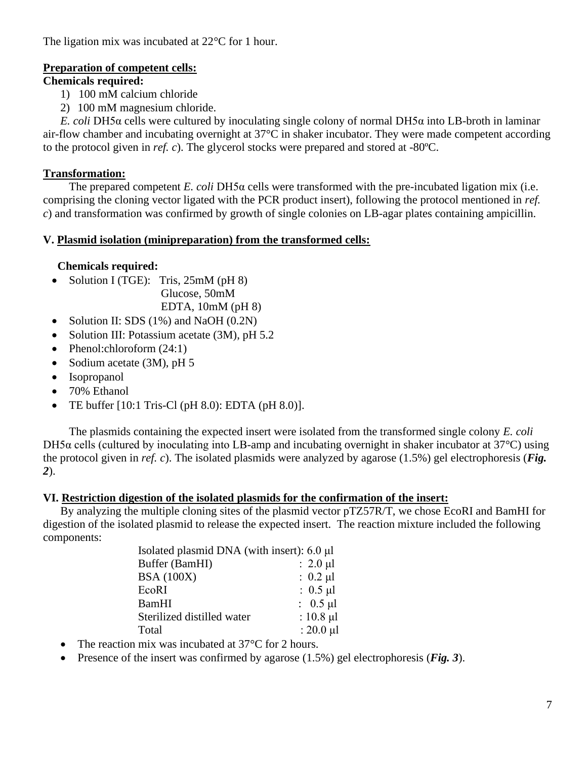The ligation mix was incubated at 22<sup>o</sup>C for 1 hour.

# **Preparation of competent cells:**

# **Chemicals required:**

- 1) 100 mM calcium chloride
- 2) 100 mM magnesium chloride.

*E. coli* DH5α cells were cultured by inoculating single colony of normal DH5α into LB-broth in laminar air-flow chamber and incubating overnight at 37°C in shaker incubator. They were made competent according to the protocol given in *ref. c*). The glycerol stocks were prepared and stored at -80ºC.

# **Transformation:**

The prepared competent *E. coli* DH5α cells were transformed with the pre-incubated ligation mix (i.e. comprising the cloning vector ligated with the PCR product insert), following the protocol mentioned in *ref. c*) and transformation was confirmed by growth of single colonies on LB-agar plates containing ampicillin.

# **V. Plasmid isolation (minipreparation) from the transformed cells:**

# **Chemicals required:**

• Solution I (TGE): Tris, 25mM (pH 8)

Glucose, 50mM

EDTA,  $10mM$  (pH  $8$ )

- Solution II: SDS (1%) and NaOH (0.2N)
- Solution III: Potassium acetate (3M), pH 5.2
- Phenol:chloroform (24:1)
- Sodium acetate (3M), pH 5
- Isopropanol
- 70% Ethanol
- TE buffer  $[10:1$  Tris-Cl  $(pH 8.0)$ : EDTA  $(pH 8.0)$ ].

The plasmids containing the expected insert were isolated from the transformed single colony *E. coli* DH5α cells (cultured by inoculating into LB-amp and incubating overnight in shaker incubator at 37°C) using the protocol given in *ref. c*). The isolated plasmids were analyzed by agarose (1.5%) gel electrophoresis (*Fig. 2*).

# **VI. Restriction digestion of the isolated plasmids for the confirmation of the insert:**

By analyzing the multiple cloning sites of the plasmid vector pTZ57R/T, we chose EcoRI and BamHI for digestion of the isolated plasmid to release the expected insert. The reaction mixture included the following components:

| Isolated plasmid DNA (with insert): 6.0 µl |                |
|--------------------------------------------|----------------|
| Buffer (BamHI)                             | $: 2.0 \mu l$  |
| <b>BSA</b> (100X)                          | : $0.2 \mu l$  |
| EcoRI                                      | : $0.5 \mu l$  |
| BamHI                                      | : $0.5 \mu l$  |
| Sterilized distilled water                 | : $10.8 \mu l$ |
| Total                                      | : $20.0 \mu l$ |

- The reaction mix was incubated at 37 °C for 2 hours.
- Presence of the insert was confirmed by agarose (1.5%) gel electrophoresis (*Fig. 3*).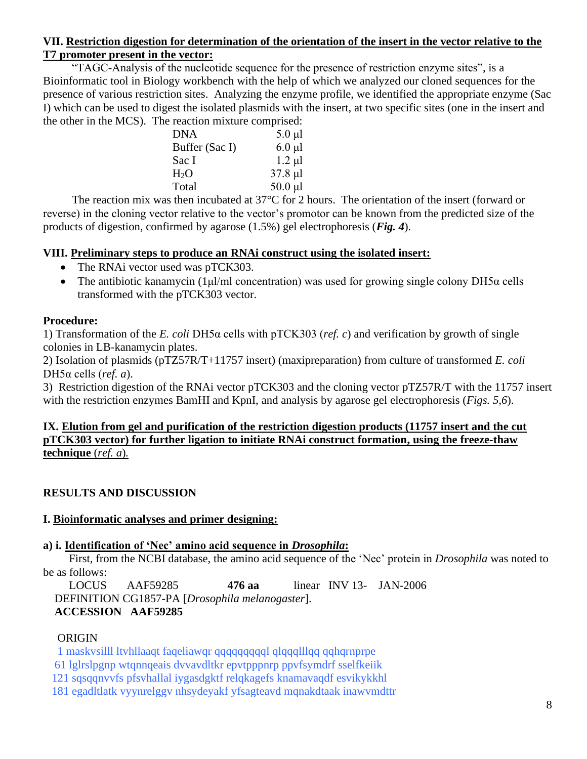## **VII. Restriction digestion for determination of the orientation of the insert in the vector relative to the T7 promoter present in the vector:**

"TAGC-Analysis of the nucleotide sequence for the presence of restriction enzyme sites", is a Bioinformatic tool in Biology workbench with the help of which we analyzed our cloned sequences for the presence of various restriction sites. Analyzing the enzyme profile, we identified the appropriate enzyme (Sac I) which can be used to digest the isolated plasmids with the insert, at two specific sites (one in the insert and the other in the MCS). The reaction mixture comprised:

| <b>DNA</b>       | $5.0 \mu l$  |
|------------------|--------------|
| Buffer (Sac I)   | $6.0 \mu l$  |
| Sac I            | $1.2 \mu l$  |
| H <sub>2</sub> O | $37.8$ µl    |
| Total            | $50.0 \mu l$ |
|                  |              |

The reaction mix was then incubated at 37°C for 2 hours. The orientation of the insert (forward or reverse) in the cloning vector relative to the vector's promotor can be known from the predicted size of the products of digestion, confirmed by agarose (1.5%) gel electrophoresis (*Fig. 4*).

# **VIII. Preliminary steps to produce an RNAi construct using the isolated insert:**

- The RNAi vector used was pTCK303.
- The antibiotic kanamycin (1 μl/ml concentration) was used for growing single colony DH5 $\alpha$  cells transformed with the pTCK303 vector.

# **Procedure:**

1) Transformation of the *E. coli* DH5α cells with pTCK303 (*ref. c*) and verification by growth of single colonies in LB-kanamycin plates.

2) Isolation of plasmids (pTZ57R/T+11757 insert) (maxipreparation) from culture of transformed *E. coli* DH5α cells (*ref. a*).

3) Restriction digestion of the RNAi vector pTCK303 and the cloning vector pTZ57R/T with the 11757 insert with the restriction enzymes BamHI and KpnI, and analysis by agarose gel electrophoresis (*Figs. 5,6*).

## **IX. Elution from gel and purification of the restriction digestion products (11757 insert and the cut pTCK303 vector) for further ligation to initiate RNAi construct formation, using the freeze-thaw technique** (*ref. a*)*.*

# **RESULTS AND DISCUSSION**

# **I. Bioinformatic analyses and primer designing:**

# **a) i. Identification of 'Nec' amino acid sequence in** *Drosophila***:**

First, from the NCBI database, the amino acid sequence of the 'Nec' protein in *Drosophila* was noted to be as follows:

LOCUS AAF59285 **476 aa** linear INV 13- JAN-2006 DEFINITION CG1857-PA [*Drosophila melanogaster*]. **ACCESSION AAF59285**

## **ORIGIN**

1 maskvsilll ltvhllaaqt faqeliawqr qqqqqqqqql qlqqqlllqq qqhqrnprpe

61 lglrslpgnp wtqnnqeais dvvavdltkr epvtpppnrp ppvfsymdrf sselfkeiik

121 sqsqqnvvfs pfsvhallal iygasdgktf relqkagefs knamavaqdf esvikykkhl

181 egadltlatk vyynrelggv nhsydeyakf yfsagteavd mqnakdtaak inawvmdttr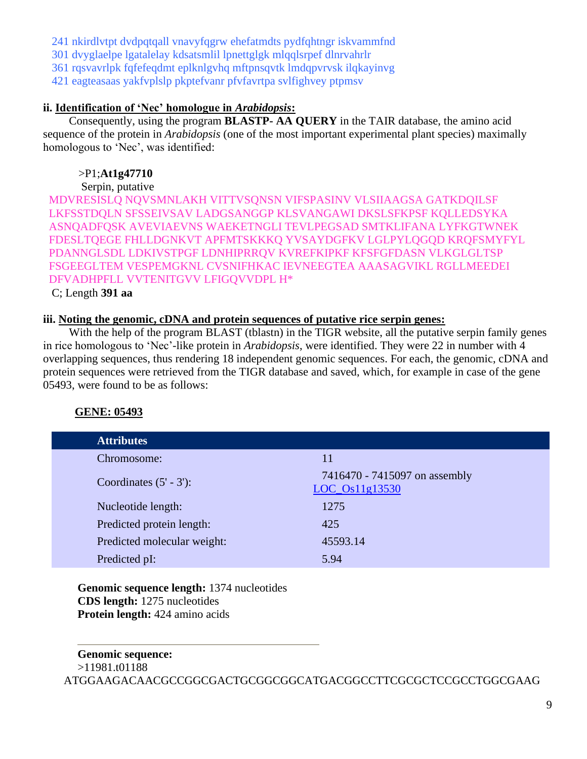241 nkirdlvtpt dvdpqtqall vnavyfqgrw ehefatmdts pydfqhtngr iskvammfnd

301 dvyglaelpe lgatalelay kdsatsmlil lpnettglgk mlqqlsrpef dlnrvahrlr

361 rqsvavrlpk fqfefeqdmt eplknlgvhq mftpnsqvtk lmdqpvrvsk ilqkayinvg

421 eagteasaas yakfvplslp pkptefvanr pfvfavrtpa svlfighvey ptpmsv

## **ii. Identification of 'Nec' homologue in** *Arabidopsis***:**

Consequently, using the program **BLASTP- AA QUERY** in the TAIR database, the amino acid sequence of the protein in *Arabidopsis* (one of the most important experimental plant species) maximally homologous to 'Nec', was identified:

# >P1;**At1g47710**

Serpin, putative

 MDVRESISLQ NQVSMNLAKH VITTVSQNSN VIFSPASINV VLSIIAAGSA GATKDQILSF LKFSSTDQLN SFSSEIVSAV LADGSANGGP KLSVANGAWI DKSLSFKPSF KQLLEDSYKA ASNQADFQSK AVEVIAEVNS WAEKETNGLI TEVLPEGSAD SMTKLIFANA LYFKGTWNEK FDESLTQEGE FHLLDGNKVT APFMTSKKKQ YVSAYDGFKV LGLPYLQGQD KRQFSMYFYL PDANNGLSDL LDKIVSTPGF LDNHIPRRQV KVREFKIPKF KFSFGFDASN VLKGLGLTSP FSGEEGLTEM VESPEMGKNL CVSNIFHKAC IEVNEEGTEA AAASAGVIKL RGLLMEEDEI DFVADHPFLL VVTENITGVV LFIGQVVDPL H\*

C; Length **391 aa**

## **iii. Noting the genomic, cDNA and protein sequences of putative rice serpin genes:**

With the help of the program BLAST (tblastn) in the TIGR website, all the putative serpin family genes in rice homologous to 'Nec'-like protein in *Arabidopsis*, were identified. They were 22 in number with 4 overlapping sequences, thus rendering 18 independent genomic sequences. For each, the genomic, cDNA and protein sequences were retrieved from the TIGR database and saved, which, for example in case of the gene 05493, were found to be as follows:

# **GENE: 05493**

| <b>Attributes</b>           |                                                   |
|-----------------------------|---------------------------------------------------|
| Chromosome:                 | 11                                                |
| Coordinates $(5' - 3')$ :   | 7416470 - 7415097 on assembly<br>$LOC_0s11g13530$ |
| Nucleotide length:          | 1275                                              |
| Predicted protein length:   | 425                                               |
| Predicted molecular weight: | 45593.14                                          |
| Predicted pI:               | 5.94                                              |

 **Genomic sequence length:** 1374 nucleotides **CDS length:** 1275 nucleotides **Protein length:** 424 amino acids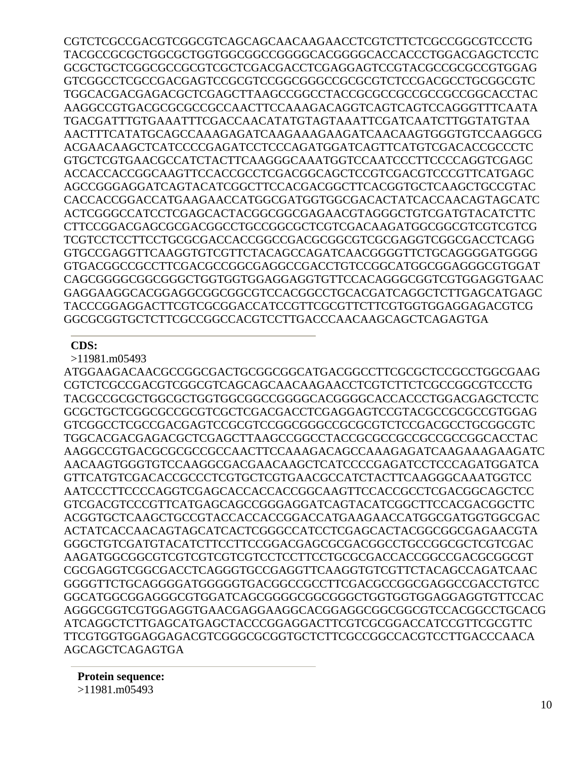CGTCTCGCCGACGTCGGCGTCAGCAGCAACAAGAACCTCGTCTTCTCGCCGGCGTCCCTG TACGCCGCGCTGGCGCTGGTGGCGGCCGGGGCACGGGGCACCACCCTGGACGAGCTCCTC GCGCTGCTCGGCGCCGCGTCGCTCGACGACCTCGAGGAGTCCGTACGCCGCGCCGTGGAG GTCGGCCTCGCCGACGAGTCCGCGTCCGGCGGGCCGCGCGTCTCCGACGCCTGCGGCGTC TGGCACGACGAGACGCTCGAGCTTAAGCCGGCCTACCGCGCCGCCGCCGCCGGCACCTAC AAGGCCGTGACGCGCGCCGCCAACTTCCAAAGACAGGTCAGTCAGTCCAGGGTTTCAATA TGACGATTTGTGAAATTTCGACCAACATATGTAGTAAATTCGATCAATCTTGGTATGTAA AACTTTCATATGCAGCCAAAGAGATCAAGAAAGAAGATCAACAAGTGGGTGTCCAAGGCG ACGAACAAGCTCATCCCCGAGATCCTCCCAGATGGATCAGTTCATGTCGACACCGCCCTC GTGCTCGTGAACGCCATCTACTTCAAGGGCAAATGGTCCAATCCCTTCCCCAGGTCGAGC ACCACCACCGGCAAGTTCCACCGCCTCGACGGCAGCTCCGTCGACGTCCCGTTCATGAGC AGCCGGGAGGATCAGTACATCGGCTTCCACGACGGCTTCACGGTGCTCAAGCTGCCGTAC CACCACCGGACCATGAAGAACCATGGCGATGGTGGCGACACTATCACCAACAGTAGCATC ACTCGGGCCATCCTCGAGCACTACGGCGGCGAGAACGTAGGGCTGTCGATGTACATCTTC CTTCCGGACGAGCGCGACGGCCTGCCGGCGCTCGTCGACAAGATGGCGGCGTCGTCGTCG TCGTCCTCCTTCCTGCGCGACCACCGGCCGACGCGGCGTCGCGAGGTCGGCGACCTCAGG GTGCCGAGGTTCAAGGTGTCGTTCTACAGCCAGATCAACGGGGTTCTGCAGGGGATGGGG GTGACGGCCGCCTTCGACGCCGGCGAGGCCGACCTGTCCGGCATGGCGGAGGGCGTGGAT CAGCGGGGCGGCGGGCTGGTGGTGGAGGAGGTGTTCCACAGGGCGGTCGTGGAGGTGAAC GAGGAAGGCACGGAGGCGGCGGCGTCCACGGCCTGCACGATCAGGCTCTTGAGCATGAGC TACCCGGAGGACTTCGTCGCGGACCATCCGTTCGCGTTCTTCGTGGTGGAGGAGACGTCG GGCGCGGTGCTCTTCGCCGGCCACGTCCTTGACCCAACAAGCAGCTCAGAGTGA

### **CDS:**

>11981.m05493

ATGGAAGACAACGCCGGCGACTGCGGCGGCATGACGGCCTTCGCGCTCCGCCTGGCGAAG CGTCTCGCCGACGTCGGCGTCAGCAGCAACAAGAACCTCGTCTTCTCGCCGGCGTCCCTG TACGCCGCGCTGGCGCTGGTGGCGGCCGGGGCACGGGGCACCACCCTGGACGAGCTCCTC GCGCTGCTCGGCGCCGCGTCGCTCGACGACCTCGAGGAGTCCGTACGCCGCGCCGTGGAG GTCGGCCTCGCCGACGAGTCCGCGTCCGGCGGGCCGCGCGTCTCCGACGCCTGCGGCGTC TGGCACGACGAGACGCTCGAGCTTAAGCCGGCCTACCGCGCCGCCGCCGCCGGCACCTAC AAGGCCGTGACGCGCGCCGCCAACTTCCAAAGACAGCCAAAGAGATCAAGAAAGAAGATC AACAAGTGGGTGTCCAAGGCGACGAACAAGCTCATCCCCGAGATCCTCCCAGATGGATCA GTTCATGTCGACACCGCCCTCGTGCTCGTGAACGCCATCTACTTCAAGGGCAAATGGTCC AATCCCTTCCCCAGGTCGAGCACCACCACCGGCAAGTTCCACCGCCTCGACGGCAGCTCC GTCGACGTCCCGTTCATGAGCAGCCGGGAGGATCAGTACATCGGCTTCCACGACGGCTTC ACGGTGCTCAAGCTGCCGTACCACCACCGGACCATGAAGAACCATGGCGATGGTGGCGAC ACTATCACCAACAGTAGCATCACTCGGGCCATCCTCGAGCACTACGGCGGCGAGAACGTA GGGCTGTCGATGTACATCTTCCTTCCGGACGAGCGCGACGGCCTGCCGGCGCTCGTCGAC AAGATGGCGGCGTCGTCGTCGTCGTCCTCCTTCCTGCGCGACCACCGGCCGACGCGGCGT CGCGAGGTCGGCGACCTCAGGGTGCCGAGGTTCAAGGTGTCGTTCTACAGCCAGATCAAC GGGGTTCTGCAGGGGATGGGGGTGACGGCCGCCTTCGACGCCGGCGAGGCCGACCTGTCC GGCATGGCGGAGGGCGTGGATCAGCGGGGCGGCGGGCTGGTGGTGGAGGAGGTGTTCCAC AGGGCGGTCGTGGAGGTGAACGAGGAAGGCACGGAGGCGGCGGCGTCCACGGCCTGCACG ATCAGGCTCTTGAGCATGAGCTACCCGGAGGACTTCGTCGCGGACCATCCGTTCGCGTTC TTCGTGGTGGAGGAGACGTCGGGCGCGGTGCTCTTCGCCGGCCACGTCCTTGACCCAACA AGCAGCTCAGAGTGA

**Protein sequence:** >11981.m05493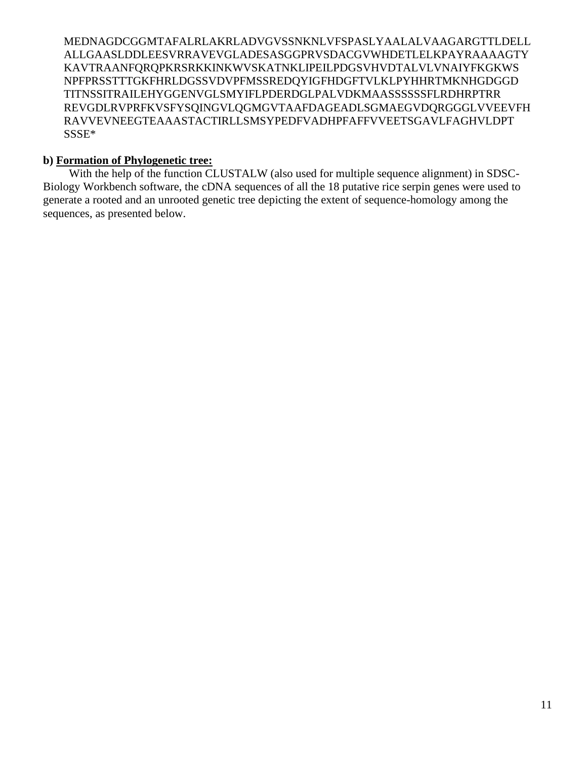MEDNAGDCGGMTAFALRLAKRLADVGVSSNKNLVFSPASLYAALALVAAGARGTTLDELL ALLGAASLDDLEESVRRAVEVGLADESASGGPRVSDACGVWHDETLELKPAYRAAAAGTY KAVTRAANFQRQPKRSRKKINKWVSKATNKLIPEILPDGSVHVDTALVLVNAIYFKGKWS NPFPRSSTTTGKFHRLDGSSVDVPFMSSREDQYIGFHDGFTVLKLPYHHRTMKNHGDGGD TITNSSITRAILEHYGGENVGLSMYIFLPDERDGLPALVDKMAASSSSSSFLRDHRPTRR REVGDLRVPRFKVSFYSQINGVLQGMGVTAAFDAGEADLSGMAEGVDQRGGGLVVEEVFH RAVVEVNEEGTEAAASTACTIRLLSMSYPEDFVADHPFAFFVVEETSGAVLFAGHVLDPT SSSE\*

### **b) Formation of Phylogenetic tree:**

With the help of the function CLUSTALW (also used for multiple sequence alignment) in SDSC-Biology Workbench software, the cDNA sequences of all the 18 putative rice serpin genes were used to generate a rooted and an unrooted genetic tree depicting the extent of sequence-homology among the sequences, as presented below.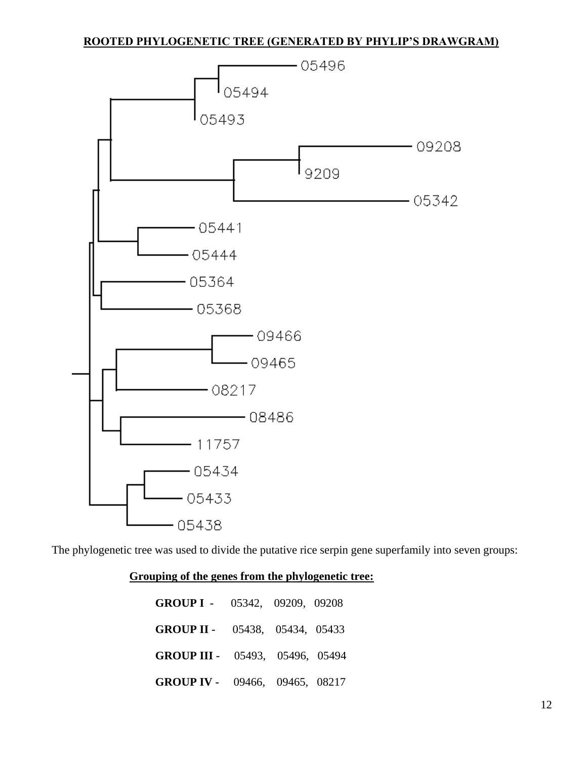# **ROOTED PHYLOGENETIC TREE (GENERATED BY PHYLIP'S DRAWGRAM)**



The phylogenetic tree was used to divide the putative rice serpin gene superfamily into seven groups:

# **Grouping of the genes from the phylogenetic tree:**

| <b>GROUP I</b> - 05342, 09209, 09208   |  |  |
|----------------------------------------|--|--|
| <b>GROUP II -</b> 05438, 05434, 05433  |  |  |
| <b>GROUP III -</b> 05493, 05496, 05494 |  |  |
| <b>GROUP IV -</b> 09466, 09465, 08217  |  |  |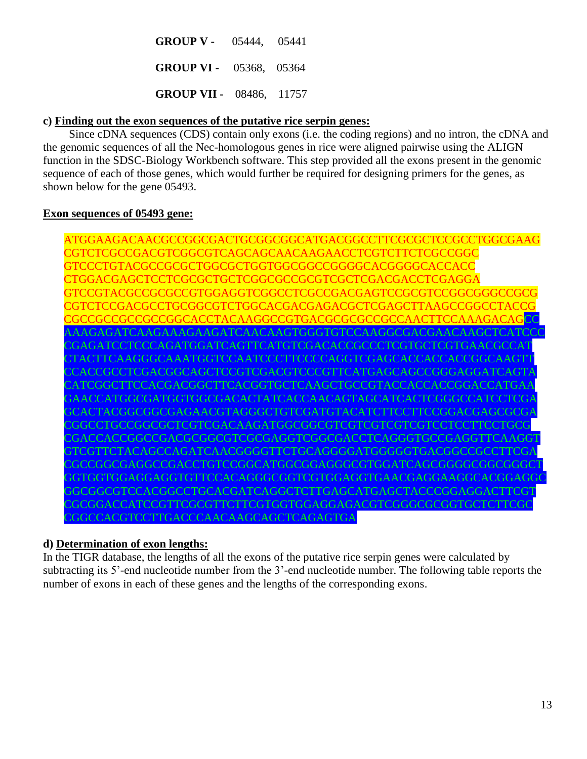**GROUP V -** 05444, 05441  **GROUP VI -** 05368, 05364  **GROUP VII -** 08486, 11757

## **c) Finding out the exon sequences of the putative rice serpin genes:**

Since cDNA sequences (CDS) contain only exons (i.e. the coding regions) and no intron, the cDNA and the genomic sequences of all the Nec-homologous genes in rice were aligned pairwise using the ALIGN function in the SDSC-Biology Workbench software. This step provided all the exons present in the genomic sequence of each of those genes, which would further be required for designing primers for the genes, as shown below for the gene 05493.

### **Exon sequences of 05493 gene:**

ATGGAAGACAACGCCGGCGACTGCGGCGGCATGACGGCCTTCGCGCTCCGCCTGGCGAAG CGTCTCGCCGACGTCGGCGTCAGCAGCAACAAGAACCTCGTCTTCTCGCCGGC GTCCCTGTACGCCGCGCTGGCGCTGGTGGCGGCCGGGGCACGGGGCACCACC CTGGACGAGCTCCTCGCGCTGCTCGGCGCCGCGTCGCTCGACGACCTCGAGGA GTCCGTACGCCGCGCCGTGGAGGTCGGCCTCGCCGACGAGTCCGCGTCCGGCGGGCCGCG CGTCTCCGACGCCTGCGGCGTCTGGCACGACGAGACGCTCGAGCTTAAGCCGGCCTACCG CGCCGCCGCCGGCGCACCTACAAGGCCGTGACGCGCGCCGCCAACTTCCAAAGACAG AAAGAGATCAAGAAAGAAGATCAACAAGTGGGTGTCCAAGGCGACGAACAAGC CGAGATCCTCCCAGATGGATCAGTTCATGTCGACACCGCCCTCGTGCTCGTGAACGC CTTCAAGGGCAAATGGTCCAATCCCTTCCCCAGGTCGAGCACCACCACCGGCAA CGCCTCGACGGCAGCTCCGTCGACGTCCCGTTCATGAGCAGCCGGGAGGATC CATCCACGACGGCTTCACGGTGCTCAAGCTGCCGTACCACCACC GAACCATGGCGATGGTGGCGACACTATCACCAACAGTAGCATCACTCGGGCCATC GCACTACGGCGGCGAGAACGTAGGGCTGTCGATGTACATCTTCCTTCCGGACGAGCGCGA CGGCCTGCCGGCGCTCGTCGACAAGATGGCGGCGTCGTCGTCGTCGTCCTCCTCCTT CGACCACCGGCCGACGCGGCGTCGCGAGGTCGGCGACCTCAGGGTGCCGAGGTTC GTTCTACAGCCAGATCAACGGGGTTCTGCAGGGGATGGGGGTGACGGCCGCC CGGCGAGGCCGACCTGTCCGGCATGGCGGAGGGCGTGGATCAGCGGGGCGGC GGTGGAGGAGGTGTTCCACAGGGCGGTCGTGGAGGTGAACGAGGAAGGC GGCGTCCACGGCCTGCACGATCAGGCTCTTGAGCATGAGCTACCCGGAGGAC CGCGGACCATCCGTTCGCGTTCTTCGTGGTGGAGGAGACGTCGGGCGCGCGGTGC CGGCCACGTCCTTGACCCAACAAGCAGCTCAGAGTGA

## **d) Determination of exon lengths:**

In the TIGR database, the lengths of all the exons of the putative rice serpin genes were calculated by subtracting its 5'-end nucleotide number from the 3'-end nucleotide number. The following table reports the number of exons in each of these genes and the lengths of the corresponding exons.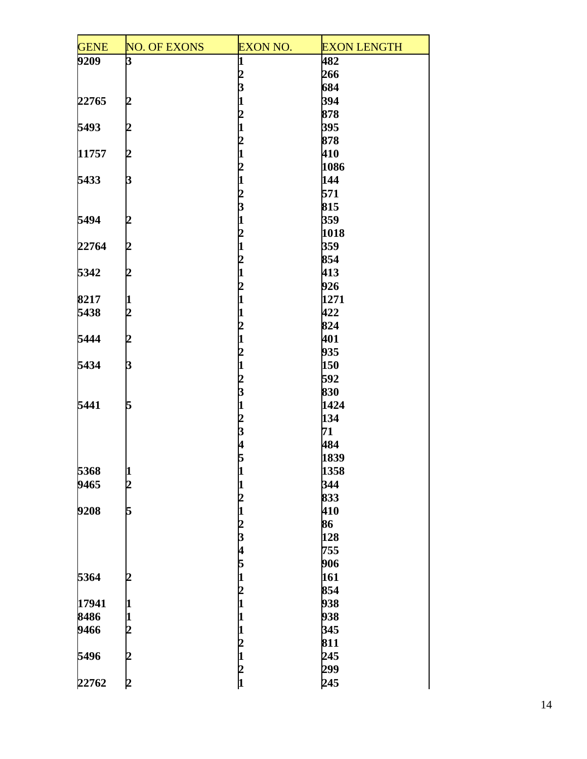| <b>GENE</b> | <b>NO. OF EXONS</b> | <b>EXON NO.</b>         | <b>EXON LENGTH</b> |
|-------------|---------------------|-------------------------|--------------------|
| 9209        | 3                   | 1                       | 482                |
|             |                     | 2                       | 266                |
|             |                     | 3                       | 684                |
| 22765       | 2                   |                         | 394                |
|             |                     | 2                       | 878                |
| 5493        | 2                   |                         | 395                |
|             |                     | $\mathbf 2$             | 878                |
| 11757       | 2                   |                         | 410                |
|             |                     | 2                       | 1086               |
| 5433        | þ                   | 1                       | 144                |
|             |                     | $\overline{c}$          | 571                |
|             |                     | $\overline{\mathbf{3}}$ | 815                |
|             |                     |                         |                    |
| 5494        | 2                   |                         | 359                |
|             |                     | $\overline{c}$          | 1018               |
| 22764       | 12                  | 1                       | 359                |
|             |                     | 2                       | 854                |
| 5342        | 2                   | 1                       | 413                |
|             |                     | 2                       | 926                |
| 8217        | 11                  |                         | 1271               |
| 5438        | 2                   |                         | 422                |
|             |                     | $\mathbf 2$             | 824                |
| 5444        | 2                   | 1                       | 401                |
|             |                     | $\mathbf{z}$            | 935                |
| 5434        | þ                   | $\mathbf{1}$            | 150                |
|             |                     |                         | 592                |
|             |                     | $\frac{2}{3}$           | 830                |
| 5441        | 5                   | $\mathbf{1}$            | 1424               |
|             |                     | $\overline{c}$          | 134                |
|             |                     | 3                       | 71                 |
|             |                     | 4                       | 484                |
|             |                     | 5                       | 1839               |
| 5368        | 1                   | 1                       | 1358               |
| 9465        | $\overline{c}$      |                         | 344                |
|             |                     | 2                       | 833                |
| 9208        | 5                   | 1                       | 410                |
|             |                     |                         | 86                 |
|             |                     | $\frac{2}{3}$           | 128                |
|             |                     |                         | 755                |
|             |                     | 4                       |                    |
|             |                     | 5                       | 906                |
| 5364        | 2                   | 1                       | 161                |
|             |                     | 2                       | 854                |
| 17941       | 1                   |                         | 938                |
| 8486        | 1                   |                         | 938                |
| 9466        | 2                   |                         | 345                |
|             |                     | 2                       | 811                |
| 5496        | 2                   | 1                       | 245                |
|             |                     | $\frac{2}{1}$           | 299                |
| 22762       | 2                   |                         | 245                |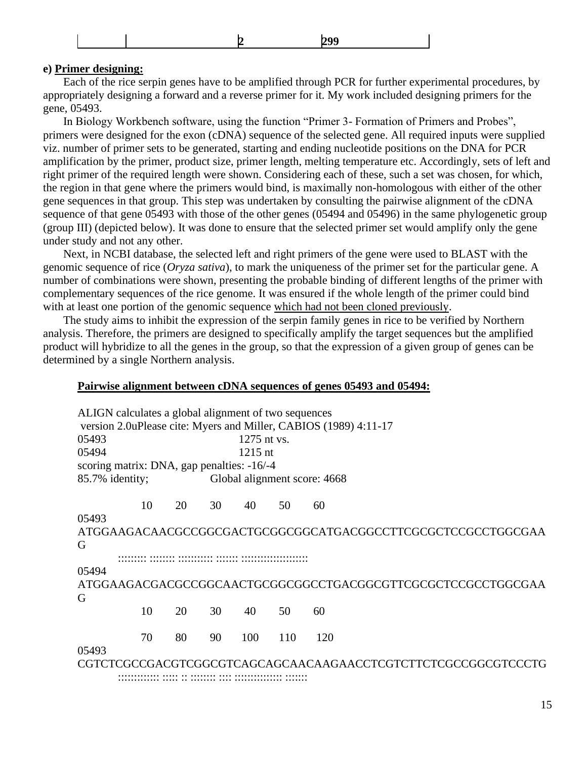|--|

#### **e) Primer designing:**

 Each of the rice serpin genes have to be amplified through PCR for further experimental procedures, by appropriately designing a forward and a reverse primer for it. My work included designing primers for the gene, 05493.

 In Biology Workbench software, using the function "Primer 3- Formation of Primers and Probes", primers were designed for the exon (cDNA) sequence of the selected gene. All required inputs were supplied viz. number of primer sets to be generated, starting and ending nucleotide positions on the DNA for PCR amplification by the primer, product size, primer length, melting temperature etc. Accordingly, sets of left and right primer of the required length were shown. Considering each of these, such a set was chosen, for which, the region in that gene where the primers would bind, is maximally non-homologous with either of the other gene sequences in that group. This step was undertaken by consulting the pairwise alignment of the cDNA sequence of that gene 05493 with those of the other genes (05494 and 05496) in the same phylogenetic group (group III) (depicted below). It was done to ensure that the selected primer set would amplify only the gene under study and not any other.

 Next, in NCBI database, the selected left and right primers of the gene were used to BLAST with the genomic sequence of rice (*Oryza sativa*), to mark the uniqueness of the primer set for the particular gene. A number of combinations were shown, presenting the probable binding of different lengths of the primer with complementary sequences of the rice genome. It was ensured if the whole length of the primer could bind with at least one portion of the genomic sequence which had not been cloned previously.

 The study aims to inhibit the expression of the serpin family genes in rice to be verified by Northern analysis. Therefore, the primers are designed to specifically amplify the target sequences but the amplified product will hybridize to all the genes in the group, so that the expression of a given group of genes can be determined by a single Northern analysis.

#### **Pairwise alignment between cDNA sequences of genes 05493 and 05494:**

ALIGN calculates a global alignment of two sequences version 2.0uPlease cite: Myers and Miller, CABIOS (1989) 4:11-17 05493 1275 nt vs. 05494 1215 nt scoring matrix: DNA, gap penalties: -16/-4 85.7% identity; Global alignment score: 4668 10 20 30 40 50 60 05493 ATGGAAGACAACGCCGGCGACTGCGGCGGCATGACGGCCTTCGCGCTCCGCCTGGCGAA G ::::::::: :::::::: ::::::::::: ::::::: ::::::::::::::::::::: 05494 ATGGAAGACGACGCCGGCAACTGCGGCGGCCTGACGGCGTTCGCGCTCCGCCTGGCGAA G 10 20 30 40 50 60 70 80 90 100 110 120 05493 CGTCTCGCCGACGTCGGCGTCAGCAGCAACAAGAACCTCGTCTTCTCGCCGGCGTCCCTG

::::::::::::: ::::: :: :::::::: :::: ::::::::::::::: :::::::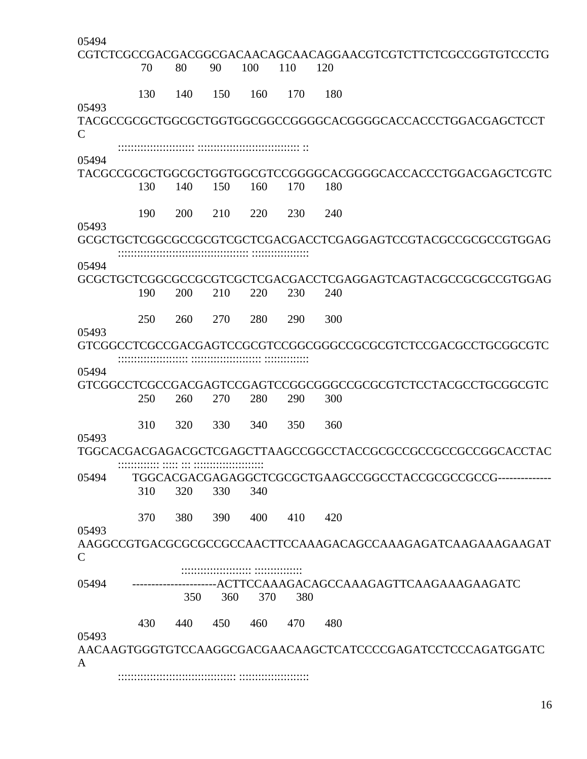| 05494        |     |            |     |     |     |     |                                                              |
|--------------|-----|------------|-----|-----|-----|-----|--------------------------------------------------------------|
|              |     |            |     |     |     |     | CGTCTCGCCGACGACGGCGACAACAGCAACAGGAACGTCGTCTTCTCGCCGGTGTCCCTG |
|              | 70  | 80         | 90  | 100 | 110 | 120 |                                                              |
|              |     |            |     |     |     |     |                                                              |
|              | 130 | 140        | 150 | 160 | 170 | 180 |                                                              |
| 05493        |     |            |     |     |     |     | TACGCCGCGCTGGCGCTGGTGGCGGCCGGGCACGGGCACCACCACCTGGACGAGCTCCT  |
| $\mathsf{C}$ |     |            |     |     |     |     |                                                              |
|              |     |            |     |     |     |     |                                                              |
| 05494        |     |            |     |     |     |     | TACGCCGCGCTGGCGCTGGTGGCGTCCGGGGCACGGGCACCACCCTGGACGAGCTCGTC  |
|              | 130 | 140        | 150 | 160 | 170 | 180 |                                                              |
|              |     |            |     |     |     |     |                                                              |
|              | 190 | <b>200</b> | 210 | 220 | 230 | 240 |                                                              |
| 05493        |     |            |     |     |     |     |                                                              |
|              |     |            |     |     |     |     | GCGCTGCTCGGCGCCGCGTCGCTCGACGACCTCGAGGAGTCCGTACGCCGCGCCGTGGAG |
|              |     |            |     |     |     |     |                                                              |
| 05494        |     |            |     |     |     |     |                                                              |
|              |     |            |     |     |     |     | GCGCTGCTCGGCGCCGCGTCGCTCGACGACCTCGAGGAGTCAGTACGCCGCGCCGTGGAG |
|              | 190 | 200        | 210 | 220 | 230 | 240 |                                                              |
|              |     |            |     |     |     |     |                                                              |
|              | 250 | 260        | 270 | 280 | 290 | 300 |                                                              |
| 05493        |     |            |     |     |     |     |                                                              |
|              |     |            |     |     |     |     |                                                              |
|              |     |            |     |     |     |     |                                                              |
| 05494        |     |            |     |     |     |     | GTCGGCCTCGCCGACGAGTCCGAGTCCGGCGGGCCGCGCGTCTCCTACGCCTGCGGCGTC |
|              | 250 | 260        | 270 | 280 | 290 | 300 |                                                              |
|              |     |            |     |     |     |     |                                                              |
|              | 310 | 320        | 330 | 340 | 350 | 360 |                                                              |
| 05493        |     |            |     |     |     |     |                                                              |
|              |     |            |     |     |     |     | TGGCACGACGAGACGCTCGAGCTTAAGCCGGCCTACCGCGCCGCCGCCGCCGGCACCTAC |
|              |     |            |     |     |     |     |                                                              |
| 05494        |     |            |     |     |     |     |                                                              |
|              | 310 | 320        | 330 | 340 |     |     |                                                              |
|              |     |            |     |     |     |     |                                                              |
|              | 370 | 380        | 390 | 400 | 410 | 420 |                                                              |
| 05493        |     |            |     |     |     |     |                                                              |
|              |     |            |     |     |     |     |                                                              |
| $\mathsf{C}$ |     |            |     |     |     |     |                                                              |
|              |     |            |     |     |     |     |                                                              |
| 05494        |     |            |     |     |     |     | -----ACTTCCAAAGACAGCCAAAGAGTTCAAGAAAGAAGATC                  |
|              |     | 350        | 360 | 370 | 380 |     |                                                              |
|              | 430 | 440        | 450 | 460 |     | 480 |                                                              |
| 05493        |     |            |     |     | 470 |     |                                                              |
|              |     |            |     |     |     |     | AACAAGTGGGTGTCCAAGGCGACGAACAAGCTCATCCCCGAGATCCTCCCAGATGGATC  |
| A            |     |            |     |     |     |     |                                                              |
|              |     |            |     |     |     |     |                                                              |

16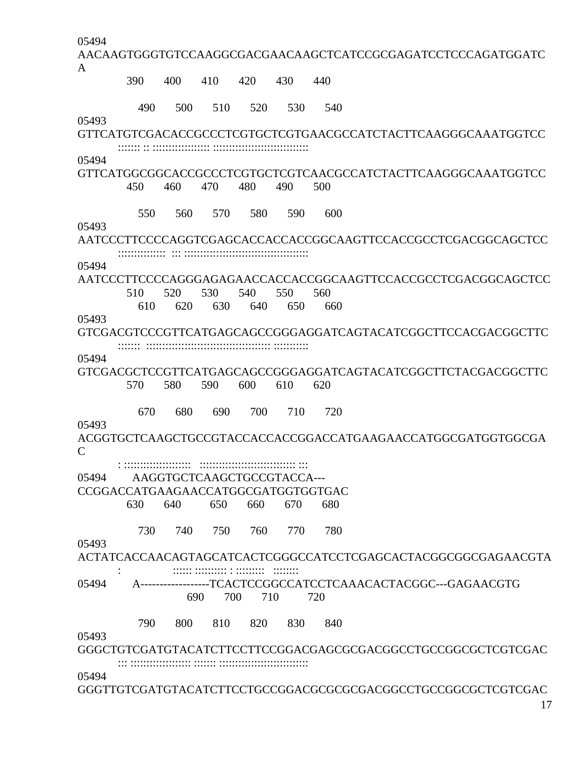05494

AACAAGTGGGTGTCCAAGGCGACGAACAAGCTCATCCGCGAGATCCTCCCAGATGGATC A 390 400 410 420 430 440

490 500 510 520 530 540

05493

GTTCATGTCGACACCGCCCTCGTGCTCGTGAACGCCATCTACTTCAAGGGCAAATGGTCC ::::::: :: :::::::::::::::::: ::::::::::::::::::::::::::::::

05494

GTTCATGGCGGCACCGCCCTCGTGCTCGTCAACGCCATCTACTTCAAGGGCAAATGGTCC 450 460 470 480 490 500

550 560 570 580 590 600

05493

AATCCCTTCCCCAGGTCGAGCACCACCACCGGCAAGTTCCACCGCCTCGACGGCAGCTCC ::::::::::::::: ::: :::::::::::::::::::::::::::::::::::::::

05494

AATCCCTTCCCCAGGGAGAGAACCACCACCGGCAAGTTCCACCGCCTCGACGGCAGCTCC 510 520 530 540 550 560

610 620 630 640 650 660

05493

GTCGACGTCCCGTTCATGAGCAGCCGGGAGGATCAGTACATCGGCTTCCACGACGGCTTC ::::::: ::::::::::::::::::::::::::::::::::::::: :::::::::::

05494

GTCGACGCTCCGTTCATGAGCAGCCGGGAGGATCAGTACATCGGCTTCTACGACGGCTTC 570 580 590 600 610 620

670 680 690 700 710 720

05493

ACGGTGCTCAAGCTGCCGTACCACCACCGGACCATGAAGAACCATGGCGATGGTGGCGA  $\mathcal{C}$ 

: ::::::::::::::::::::: :::::::::::::::::::::::::::::: :::

05494 AAGGTGCTCAAGCTGCCGTACCA---

CCGGACCATGAAGAACCATGGCGATGGTGGTGAC

630 640 650 660 670 680

730 740 750 760 770 780

05493

ACTATCACCAACAGTAGCATCACTCGGGCCATCCTCGAGCACTACGGCGGCGAGAACGTA : :::::: :::::::::: : ::::::::: ::::::::

05494 A------------------TCACTCCGGCCATCCTCAAACACTACGGC---GAGAACGTG 690 700 710 720

790 800 810 820 830 840

05493

GGGCTGTCGATGTACATCTTCCTTCCGGACGAGCGCGACGGCCTGCCGGCGCTCGTCGAC ::: ::::::::::::::::::: ::::::: ::::::::::::::::::::::::::::

05494

GGGTTGTCGATGTACATCTTCCTGCCGGACGCGCGCGACGGCCTGCCGGCGCTCGTCGAC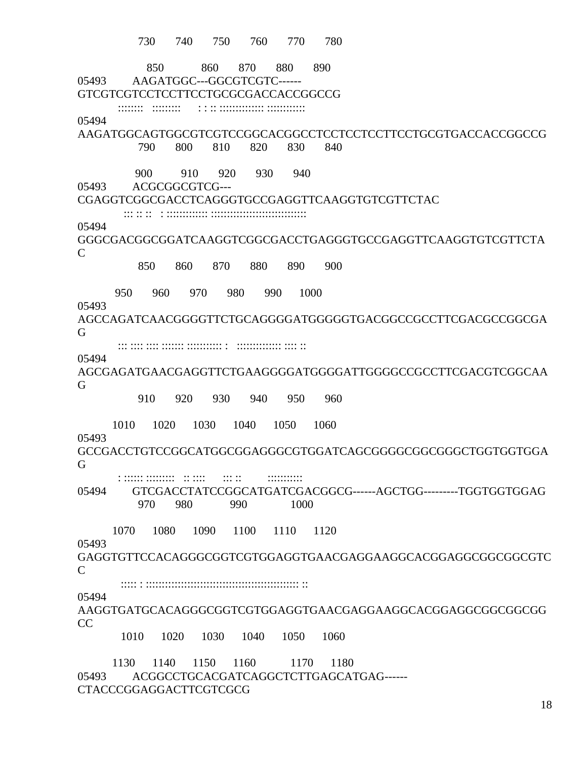730 740 750 760 770 780 850 860 870 880 890 05493 AAGATGGC---GGCGTCGTC------ GTCGTCGTCCTCCTTCCTGCGCGACCACCGGCCG :::::::: ::::::::: : : :: :::::::::::::: :::::::::::: 05494 AAGATGGCAGTGGCGTCGTCCGGCACGGCCTCCTCCTCCTTCCTGCGTGACCACCGGCCG 790 800 810 820 830 840 900 910 920 930 940 05493 ACGCGGCGTCG--- CGAGGTCGGCGACCTCAGGGTGCCGAGGTTCAAGGTGTCGTTCTAC ::: :: :: : ::::::::::::: :::::::::::::::::::::::::::::: 05494 GGGCGACGGCGGATCAAGGTCGGCGACCTGAGGGTGCCGAGGTTCAAGGTGTCGTTCTA  $\mathcal{C}$  850 860 870 880 890 900 950 960 970 980 990 1000 05493 AGCCAGATCAACGGGGTTCTGCAGGGGATGGGGGTGACGGCCGCCTTCGACGCCGGCGA G ::: :::: :::: ::::::: ::::::::::: : :::::::::::::: :::: :: 05494 AGCGAGATGAACGAGGTTCTGAAGGGGATGGGGATTGGGGCCGCCTTCGACGTCGGCAA G 910 920 930 940 950 960 1010 1020 1030 1040 1050 1060 05493 GCCGACCTGTCCGGCATGGCGGAGGGCGTGGATCAGCGGGGCGGCGGGCTGGTGGTGGA G : :::::: ::::::::: :: :::: ::: :: ::::::::::: 05494 GTCGACCTATCCGGCATGATCGACGGCG------AGCTGG---------TGGTGGTGGAG 970 980 990 1000 1070 1080 1090 1100 1110 1120 05493 GAGGTGTTCCACAGGGCGGTCGTGGAGGTGAACGAGGAAGGCACGGAGGCGGCGGCGTC C ::::: : :::::::::::::::::::::::::::::::::::::::::::::::: :: 05494 AAGGTGATGCACAGGGCGGTCGTGGAGGTGAACGAGGAAGGCACGGAGGCGGCGGCGG CC 1010 1020 1030 1040 1050 1060 1130 1140 1150 1160 1170 1180 05493 ACGGCCTGCACGATCAGGCTCTTGAGCATGAG------

```
CTACCCGGAGGACTTCGTCGCG
```
18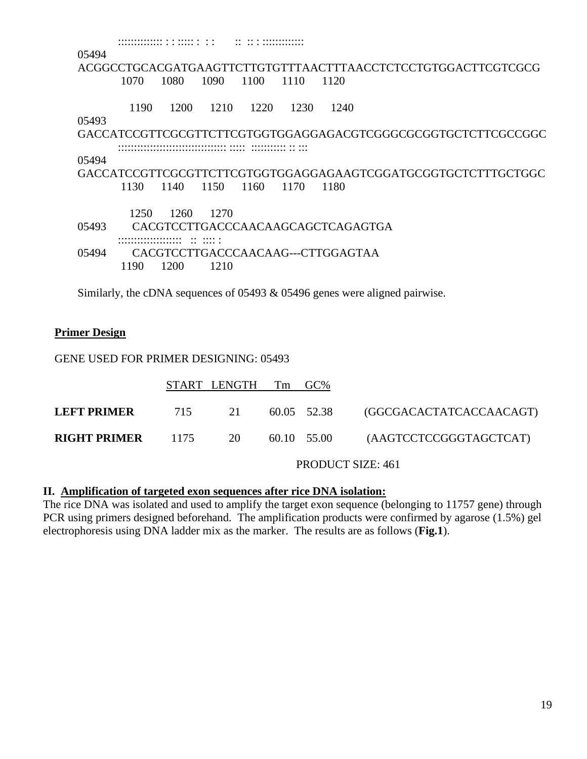| 05494 |       |      |        |      |      |                                                              |
|-------|-------|------|--------|------|------|--------------------------------------------------------------|
|       |       |      |        |      |      | ACGGCCTGCACGATGAAGTTCTTGTGTTTAACTTTAACCTCTCCTGTGGACTTCGTCGCG |
|       | 1070  | 1080 | 1090   | 1100 | 1110 | 1120                                                         |
|       | 1190  | 1200 | - 1210 | 1220 | 1230 | 1240                                                         |
| 05493 |       |      |        |      |      |                                                              |
|       |       |      |        |      |      | GACCATCCGTTCGCGTTCTTCGTGGTGGAGGAGACGTCGGGCGCGGTGCTCTTCGCCGGC |
|       |       |      |        |      |      |                                                              |
| 05494 |       |      |        |      |      |                                                              |
|       |       |      |        |      |      | GACCATCCGTTCGCGTTCTTCGTGGTGGAGGAGAAGTCGGATGCGGTGCTCTTTGCTGGC |
|       | 1130. | 1140 | 1150   | 1160 | 1170 | 1180                                                         |
|       |       |      |        |      |      |                                                              |
|       | 1250  | 1260 | 12.70  |      |      |                                                              |
| 05493 |       |      |        |      |      | CACGTCCTTGACCCAACAAGCAGCTCAGAGTGA                            |
|       |       |      |        |      |      |                                                              |
| 05494 |       |      |        |      |      | CACGTCCTTGACCCAACAAG---CTTGGAGTAA                            |
|       | 1190  | 1200 | 1210   |      |      |                                                              |

Similarly, the cDNA sequences of 05493 & 05496 genes were aligned pairwise.

#### **Primer Design**

#### GENE USED FOR PRIMER DESIGNING: 05493

|                               | START LENGTH Tm GC% |             |                                            |
|-------------------------------|---------------------|-------------|--------------------------------------------|
| LEFT PRIMER                   |                     |             | 715 21 60.05 52.38 (GGCGACACTATCACCAACAGT) |
| <b>RIGHT PRIMER</b> $1175$ 20 |                     | 60.10 55.00 | (AAGTCCTCCGGGTAGCTCAT)                     |

PRODUCT SIZE: 461

#### **II. Amplification of targeted exon sequences after rice DNA isolation:**

The rice DNA was isolated and used to amplify the target exon sequence (belonging to 11757 gene) through PCR using primers designed beforehand. The amplification products were confirmed by agarose (1.5%) gel electrophoresis using DNA ladder mix as the marker. The results are as follows (**Fig.1**).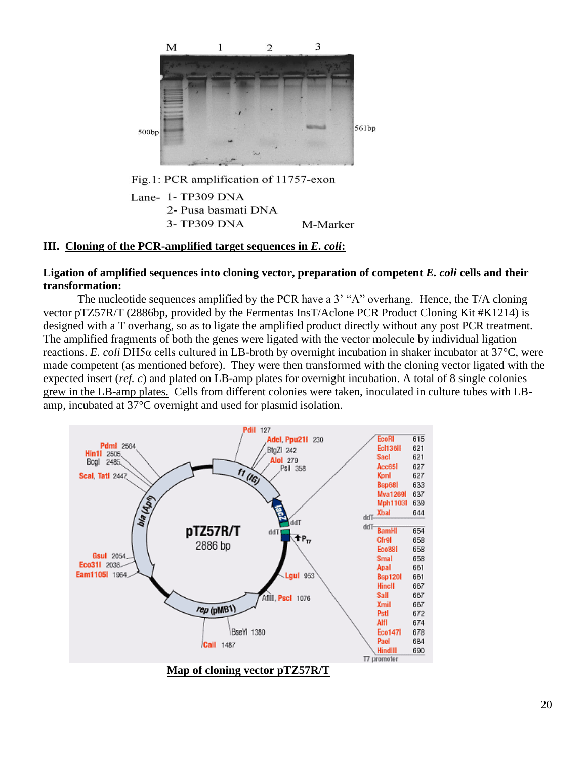

# **III. Cloning of the PCR-amplified target sequences in** *E. coli***:**

3-TP309 DNA

#### **Ligation of amplified sequences into cloning vector, preparation of competent** *E. coli* **cells and their transformation:**

M-Marker

The nucleotide sequences amplified by the PCR have a 3' "A" overhang. Hence, the T/A cloning vector pTZ57R/T (2886bp, provided by the Fermentas InsT/Aclone PCR Product Cloning Kit #K1214) is designed with a T overhang, so as to ligate the amplified product directly without any post PCR treatment. The amplified fragments of both the genes were ligated with the vector molecule by individual ligation reactions. *E. coli* DH5α cells cultured in LB-broth by overnight incubation in shaker incubator at 37°C, were made competent (as mentioned before). They were then transformed with the cloning vector ligated with the expected insert (*ref. c*) and plated on LB-amp plates for overnight incubation. A total of 8 single colonies grew in the LB-amp plates. Cells from different colonies were taken, inoculated in culture tubes with LBamp, incubated at 37°C overnight and used for plasmid isolation.



20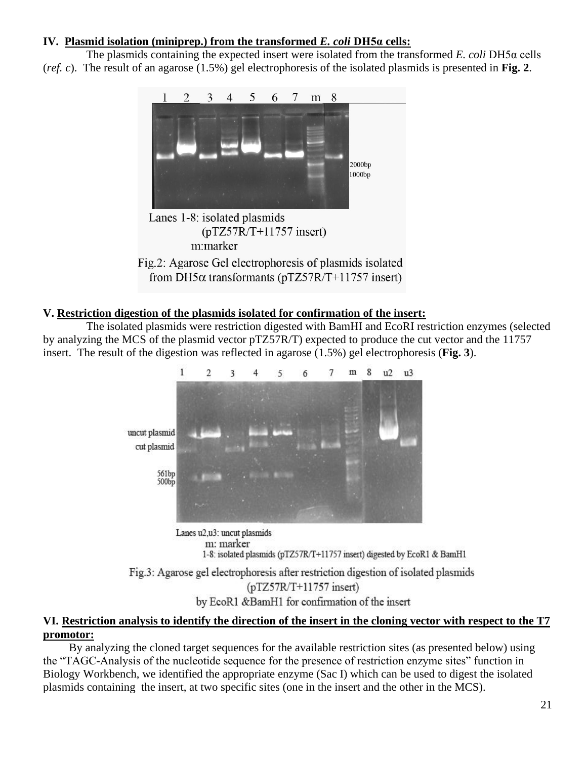# **IV. Plasmid isolation (miniprep.) from the transformed** *E. coli* **DH5α cells:**

The plasmids containing the expected insert were isolated from the transformed *E. coli* DH5α cells (*ref. c*). The result of an agarose (1.5%) gel electrophoresis of the isolated plasmids is presented in **Fig. 2**.





# **V. Restriction digestion of the plasmids isolated for confirmation of the insert:**

The isolated plasmids were restriction digested with BamHI and EcoRI restriction enzymes (selected by analyzing the MCS of the plasmid vector pTZ57R/T) expected to produce the cut vector and the 11757 insert. The result of the digestion was reflected in agarose (1.5%) gel electrophoresis (**Fig. 3**).



m: marker 1-8: isolated plasmids (pTZ57R/T+11757 insert) digested by EcoR1 & BamH1 Fig.3: Agarose gel electrophoresis after restriction digestion of isolated plasmids  $(pTZ57R/T+11757$  insert)

by EcoR1 &BamH1 for confirmation of the insert

# **VI. Restriction analysis to identify the direction of the insert in the cloning vector with respect to the T7 promotor:**

By analyzing the cloned target sequences for the available restriction sites (as presented below) using the "TAGC-Analysis of the nucleotide sequence for the presence of restriction enzyme sites" function in Biology Workbench, we identified the appropriate enzyme (Sac I) which can be used to digest the isolated plasmids containing the insert, at two specific sites (one in the insert and the other in the MCS).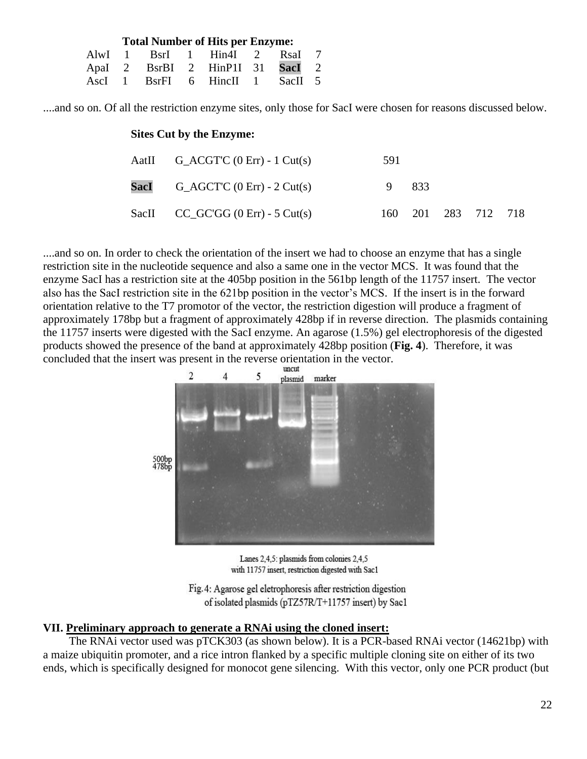| <b>Total Number of Hits per Enzyme:</b> |  |  |  |                                 |  |  |  |  |  |  |
|-----------------------------------------|--|--|--|---------------------------------|--|--|--|--|--|--|
|                                         |  |  |  | AlwI 1 BsrI 1 Hin4I 2 RsaI 7    |  |  |  |  |  |  |
|                                         |  |  |  | Apal 2 BsrBI 2 HinP1I 31 SacI 2 |  |  |  |  |  |  |
|                                         |  |  |  | AscI 1 BsrFI 6 Hinell 1 SacII 5 |  |  |  |  |  |  |

....and so on. Of all the restriction enzyme sites, only those for SacI were chosen for reasons discussed below.

#### **Sites Cut by the Enzyme:**

| AatII $G_\text{ACGT'C}$ (0 Err) - 1 Cut(s) | 591 |      |                     |  |
|--------------------------------------------|-----|------|---------------------|--|
| <b>SacI</b> $G_A GCT'C$ (0 Err) - 2 Cut(s) | 9.  | -833 |                     |  |
| SacII $CC_GCGG$ (0 Err) - 5 Cut(s)         |     |      | 160 201 283 712 718 |  |

....and so on. In order to check the orientation of the insert we had to choose an enzyme that has a single restriction site in the nucleotide sequence and also a same one in the vector MCS. It was found that the enzyme SacI has a restriction site at the 405bp position in the 561bp length of the 11757 insert. The vector also has the SacI restriction site in the 621bp position in the vector's MCS. If the insert is in the forward orientation relative to the T7 promotor of the vector, the restriction digestion will produce a fragment of approximately 178bp but a fragment of approximately 428bp if in reverse direction. The plasmids containing the 11757 inserts were digested with the SacI enzyme. An agarose (1.5%) gel electrophoresis of the digested products showed the presence of the band at approximately 428bp position (**Fig. 4**). Therefore, it was concluded that the insert was present in the reverse orientation in the vector.



Lanes 2,4,5: plasmids from colonies 2,4,5 with 11757 insert, restriction digested with Sac1

Fig. 4: Agarose gel eletrophoresis after restriction digestion of isolated plasmids (pTZ57R/T+11757 insert) by Sac1

#### **VII. Preliminary approach to generate a RNAi using the cloned insert:**

The RNAi vector used was pTCK303 (as shown below). It is a PCR-based RNAi vector (14621bp) with a maize ubiquitin promoter, and a rice intron flanked by a specific multiple cloning site on either of its two ends, which is specifically designed for monocot gene silencing. With this vector, only one PCR product (but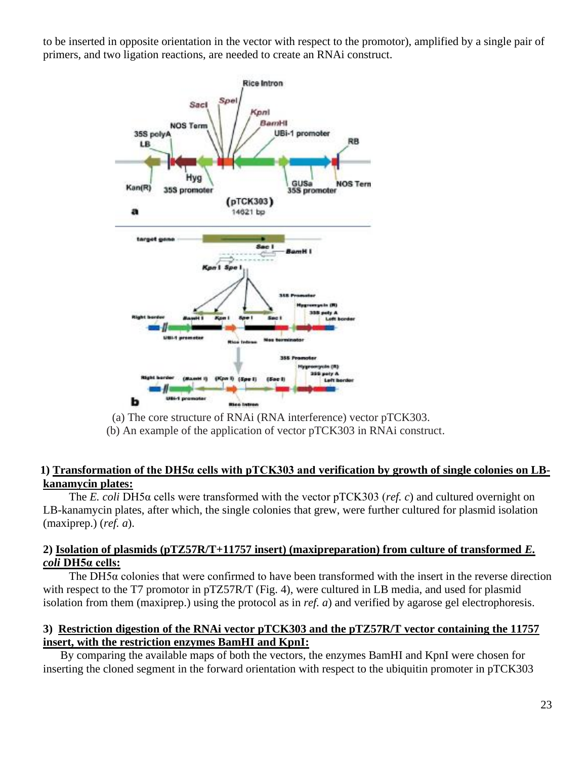to be inserted in opposite orientation in the vector with respect to the promotor), amplified by a single pair of primers, and two ligation reactions, are needed to create an RNAi construct.



(a) The core structure of RNAi (RNA interference) vector pTCK303.

(b) An example of the application of vector pTCK303 in RNAi construct.

## **1) Transformation of the DH5α cells with pTCK303 and verification by growth of single colonies on LBkanamycin plates:**

The *E. coli* DH5α cells were transformed with the vector pTCK303 (*ref. c*) and cultured overnight on LB-kanamycin plates, after which, the single colonies that grew, were further cultured for plasmid isolation (maxiprep.) (*ref. a*).

### **2) Isolation of plasmids (pTZ57R/T+11757 insert) (maxipreparation) from culture of transformed** *E. coli* **DH5α cells:**

The DH5 $\alpha$  colonies that were confirmed to have been transformed with the insert in the reverse direction with respect to the T7 promotor in pTZ57R/T (Fig. 4), were cultured in LB media, and used for plasmid isolation from them (maxiprep.) using the protocol as in *ref. a*) and verified by agarose gel electrophoresis.

# **3) Restriction digestion of the RNAi vector pTCK303 and the pTZ57R/T vector containing the 11757 insert, with the restriction enzymes BamHI and KpnI:**

By comparing the available maps of both the vectors, the enzymes BamHI and KpnI were chosen for inserting the cloned segment in the forward orientation with respect to the ubiquitin promoter in pTCK303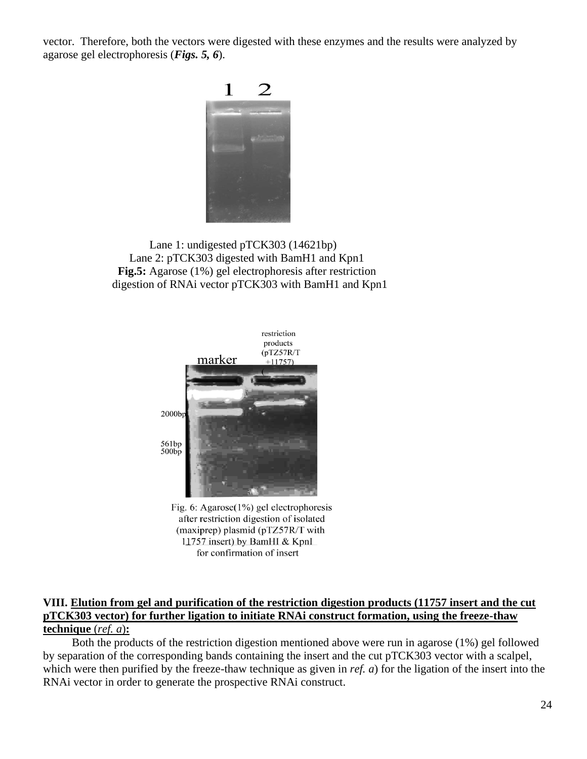vector. Therefore, both the vectors were digested with these enzymes and the results were analyzed by agarose gel electrophoresis (*Figs. 5, 6*).



 Lane 1: undigested pTCK303 (14621bp) Lane 2: pTCK303 digested with BamH1 and Kpn1  **Fig.5:** Agarose (1%) gel electrophoresis after restriction digestion of RNAi vector pTCK303 with BamH1 and Kpn1



Fig. 6: Agarose $(1\%)$  gel electrophoresis after restriction digestion of isolated (maxiprep) plasmid (pTZ57R/T with 11757 insert) by BamHI & KpnI for confirmation of insert

### **VIII. Elution from gel and purification of the restriction digestion products (11757 insert and the cut pTCK303 vector) for further ligation to initiate RNAi construct formation, using the freeze-thaw technique** (*ref. a*)**:**

 Both the products of the restriction digestion mentioned above were run in agarose (1%) gel followed by separation of the corresponding bands containing the insert and the cut pTCK303 vector with a scalpel, which were then purified by the freeze-thaw technique as given in *ref. a*) for the ligation of the insert into the RNAi vector in order to generate the prospective RNAi construct.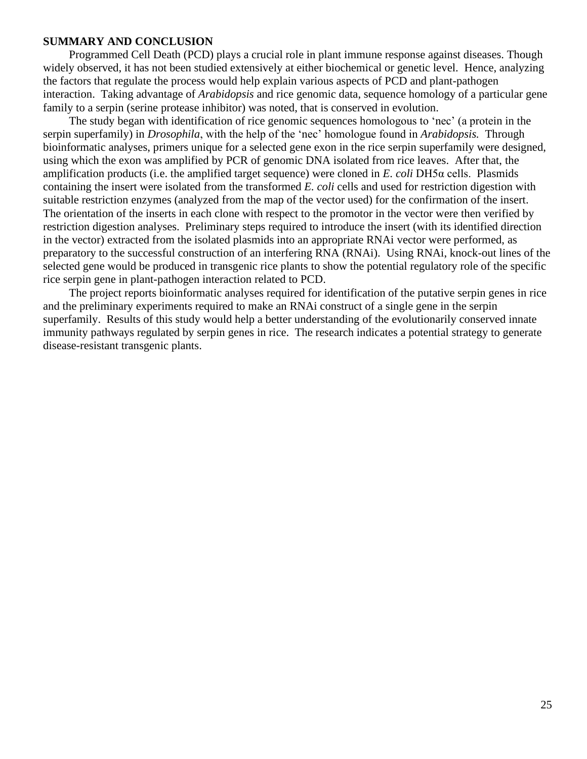#### **SUMMARY AND CONCLUSION**

Programmed Cell Death (PCD) plays a crucial role in plant immune response against diseases. Though widely observed, it has not been studied extensively at either biochemical or genetic level. Hence, analyzing the factors that regulate the process would help explain various aspects of PCD and plant-pathogen interaction. Taking advantage of *Arabidopsis* and rice genomic data, sequence homology of a particular gene family to a serpin (serine protease inhibitor) was noted, that is conserved in evolution.

The study began with identification of rice genomic sequences homologous to 'nec' (a protein in the serpin superfamily) in *Drosophila*, with the help of the 'nec' homologue found in *Arabidopsis.* Through bioinformatic analyses, primers unique for a selected gene exon in the rice serpin superfamily were designed, using which the exon was amplified by PCR of genomic DNA isolated from rice leaves. After that, the amplification products (i.e. the amplified target sequence) were cloned in *E. coli* DH5α cells. Plasmids containing the insert were isolated from the transformed *E. coli* cells and used for restriction digestion with suitable restriction enzymes (analyzed from the map of the vector used) for the confirmation of the insert. The orientation of the inserts in each clone with respect to the promotor in the vector were then verified by restriction digestion analyses. Preliminary steps required to introduce the insert (with its identified direction in the vector) extracted from the isolated plasmids into an appropriate RNAi vector were performed, as preparatory to the successful construction of an interfering RNA (RNAi). Using RNAi, knock-out lines of the selected gene would be produced in transgenic rice plants to show the potential regulatory role of the specific rice serpin gene in plant-pathogen interaction related to PCD.

The project reports bioinformatic analyses required for identification of the putative serpin genes in rice and the preliminary experiments required to make an RNAi construct of a single gene in the serpin superfamily. Results of this study would help a better understanding of the evolutionarily conserved innate immunity pathways regulated by serpin genes in rice. The research indicates a potential strategy to generate disease-resistant transgenic plants.